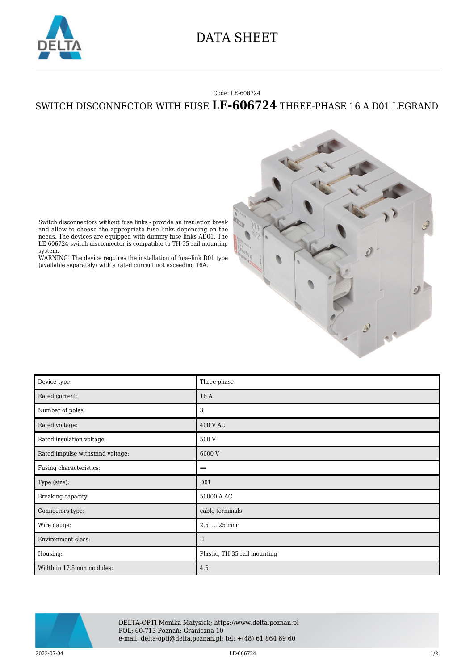

## DATA SHEET

## Code: LE-606724

## SWITCH DISCONNECTOR WITH FUSE **LE-606724** THREE-PHASE 16 A D01 LEGRAND



Switch disconnectors without fuse links - provide an insulation break and allow to choose the appropriate fuse links depending on the needs. The devices are equipped with dummy fuse links AD01. The LE-606724 switch disconnector is compatible to TH-35 rail mounting system.

WARNING! The device requires the installation of fuse-link D01 type (available separately) with a rated current not exceeding 16A.

| Device type:                     | Three-phase                  |
|----------------------------------|------------------------------|
| Rated current:                   | 16 A                         |
| Number of poles:                 | 3                            |
| Rated voltage:                   | 400 V AC                     |
| Rated insulation voltage:        | 500 V                        |
| Rated impulse withstand voltage: | 6000 V                       |
| Fusing characteristics:          | -                            |
| Type (size):                     | D <sub>01</sub>              |
| Breaking capacity:               | 50000 A AC                   |
| Connectors type:                 | cable terminals              |
| Wire gauge:                      | $2.5$ $25 \text{ mm}^2$      |
| Environment class:               | $\rm II$                     |
| Housing:                         | Plastic, TH-35 rail mounting |
| Width in 17.5 mm modules:        | 4.5                          |



DELTA-OPTI Monika Matysiak; https://www.delta.poznan.pl POL; 60-713 Poznań; Graniczna 10 e-mail: delta-opti@delta.poznan.pl; tel: +(48) 61 864 69 60